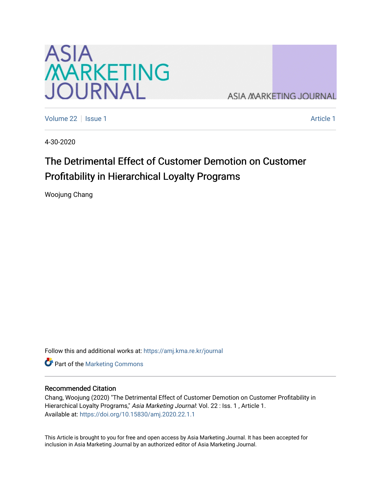

**ASIA MARKETING JOURNAL** 

[Volume 22](https://amj.kma.re.kr/journal/vol22) | [Issue 1](https://amj.kma.re.kr/journal/vol22/iss1) [Article 1](https://amj.kma.re.kr/journal/vol22/iss1/1) Article 1 Article 1 Article 1 Article 1 Article 1 Article 1 Article 1 Article 1

4-30-2020

# The Detrimental Effect of Customer Demotion on Customer Profitability in Hierarchical Loyalty Programs

Woojung Chang

Follow this and additional works at: [https://amj.kma.re.kr/journal](https://amj.kma.re.kr/journal?utm_source=amj.kma.re.kr%2Fjournal%2Fvol22%2Fiss1%2F1&utm_medium=PDF&utm_campaign=PDFCoverPages) 

Part of the [Marketing Commons](http://network.bepress.com/hgg/discipline/638?utm_source=amj.kma.re.kr%2Fjournal%2Fvol22%2Fiss1%2F1&utm_medium=PDF&utm_campaign=PDFCoverPages)

#### Recommended Citation

Chang, Woojung (2020) "The Detrimental Effect of Customer Demotion on Customer Profitability in Hierarchical Loyalty Programs," Asia Marketing Journal: Vol. 22 : Iss. 1 , Article 1. Available at:<https://doi.org/10.15830/amj.2020.22.1.1>

This Article is brought to you for free and open access by Asia Marketing Journal. It has been accepted for inclusion in Asia Marketing Journal by an authorized editor of Asia Marketing Journal.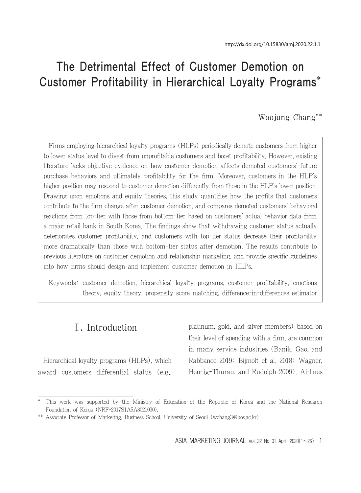# The Detrimental Effect of Customer Demotion on Customer Profitability in Hierarchical Loyalty Programs\*

### Woojung Chang\*\*

Firms employing hierarchical loyalty programs (HLPs) periodically demote customers from higher to lower status level to divest from unprofitable customers and boost profitability. However, existing literature lacks objective evidence on how customer demotion affects demoted customers' future purchase behaviors and ultimately profitability for the firm. Moreover, customers in the HLP's higher position may respond to customer demotion differently from those in the HLP's lower position. Drawing upon emotions and equity theories, this study quantifies how the profits that customers contribute to the firm change after customer demotion, and compares demoted customers' behavioral reactions from top-tier with those from bottom-tier based on customers' actual behavior data from a major retail bank in South Korea. The findings show that withdrawing customer status actually deteriorates customer profitability, and customers with top-tier status decrease their profitability more dramatically than those with bottom-tier status after demotion. The results contribute to previous literature on customer demotion and relationship marketing, and provide specific guidelines into how firms should design and implement customer demotion in HLPs.

Keywords: customer demotion, hierarchical loyalty programs, customer profitability, emotions theory, equity theory, propensity score matching, difference-in-differences estimator

## Ⅰ. Introduction

Hierarchical loyalty programs (HLPs), which award customers differential status (e.g., platinum, gold, and silver members) based on their level of spending with a firm, are common in many service industries (Banik, Gao, and Rabbanee 2019; Bijmolt et al. 2018; Wagner, Hennig-Thurau, and Rudolph 2009). Airlines

This work was supported by the Ministry of Education of the Republic of Korea and the National Research Foundation of Korea (NRF-2017S1A5A8021030).

<sup>\*\*</sup> Associate Professor of Marketing, Business School, University of Seoul (wchang3@uos.ac.kr)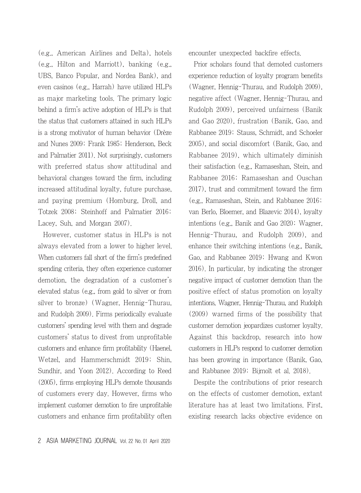(e.g., American Airlines and Delta), hotels (e.g., Hilton and Marriott), banking (e.g., UBS, Banco Popular, and Nordea Bank), and even casinos (e.g., Harrah) have utilized HLPs as major marketing tools. The primary logic behind a firm's active adoption of HLPs is that the status that customers attained in such HLPs is a strong motivator of human behavior (Drèze and Nunes 2009; Frank 1985; Henderson, Beck and Palmatier 2011). Not surprisingly, customers with preferred status show attitudinal and behavioral changes toward the firm, including increased attitudinal loyalty, future purchase, and paying premium (Homburg, Droll, and Totzek 2008; Steinhoff and Palmatier 2016; Lacey, Suh, and Morgan 2007).

However, customer status in HLPs is not always elevated from a lower to higher level. When customers fall short of the firm's predefined spending criteria, they often experience customer demotion, the degradation of a customer's elevated status (e.g., from gold to silver or from silver to bronze) (Wagner, Hennig-Thurau, and Rudolph 2009). Firms periodically evaluate customers' spending level with them and degrade customers' status to divest from unprofitable customers and enhance firm profitability (Haenel, Wetzel, and Hammerschmidt 2019; Shin, Sundhir, and Yoon 2012). According to Reed (2005), firms employing HLPs demote thousands of customers every day. However, firms who implement customer demotion to fire unprofitable customers and enhance firm profitability often encounter unexpected backfire effects.

Prior scholars found that demoted customers experience reduction of loyalty program benefits (Wagner, Hennig-Thurau, and Rudolph 2009), negative affect (Wagner, Hennig-Thurau, and Rudolph 2009), perceived unfairness (Banik and Gao 2020), frustration (Banik, Gao, and Rabbanee 2019; Stauss, Schmidt, and Schoeler 2005), and social discomfort (Banik, Gao, and Rabbanee 2019), which ultimately diminish their satisfaction (e.g., Ramaseshan, Stein, and Rabbanee 2016; Ramaseshan and Ouschan 2017), trust and commitment toward the firm (e.g., Ramaseshan, Stein, and Rabbanee 2016; van Berlo, Bloemer, and Blazevic 2014), loyalty intentions (e.g., Banik and Gao 2020; Wagner, Hennig-Thurau, and Rudolph 2009), and enhance their switching intentions (e.g., Banik, Gao, and Rabbanee 2019; Hwang and Kwon 2016). In particular, by indicating the stronger negative impact of customer demotion than the positive effect of status promotion on loyalty intentions, Wagner, Hennig-Thurau, and Rudolph (2009) warned firms of the possibility that customer demotion jeopardizes customer loyalty. Against this backdrop, research into how customers in HLPs respond to customer demotion has been growing in importance (Banik, Gao, and Rabbanee 2019; Bijmolt et al. 2018).

Despite the contributions of prior research on the effects of customer demotion, extant literature has at least two limitations. First, existing research lacks objective evidence on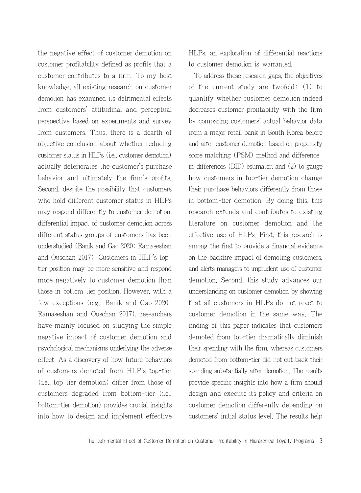the negative effect of customer demotion on customer profitability defined as profits that a customer contributes to a firm. To my best knowledge, all existing research on customer demotion has examined its detrimental effects from customers' attitudinal and perceptual perspective based on experiments and survey from customers. Thus, there is a dearth of objective conclusion about whether reducing customer status in HLPs (i.e., customer demotion) actually deteriorates the customer's purchase behavior and ultimately the firm's profits. Second, despite the possibility that customers who hold different customer status in HLPs may respond differently to customer demotion, differential impact of customer demotion across different status groups of customers has been understudied (Banik and Gao 2020; Ramaseshan and Ouschan 2017). Customers in HLP's toptier position may be more sensitive and respond more negatively to customer demotion than those in bottom-tier position. However, with a few exceptions (e.g., Banik and Gao 2020; Ramaseshan and Ouschan 2017), researchers have mainly focused on studying the simple negative impact of customer demotion and psychological mechanisms underlying the adverse effect. As a discovery of how future behaviors of customers demoted from HLP's top-tier (i.e., top-tier demotion) differ from those of customers degraded from bottom-tier (i.e., bottom-tier demotion) provides crucial insights into how to design and implement effective HLPs, an exploration of differential reactions to customer demotion is warranted.

To address these research gaps, the objectives of the current study are twofold: (1) to quantify whether customer demotion indeed decreases customer profitability with the firm by comparing customers' actual behavior data from a major retail bank in South Korea before and after customer demotion based on propensity score matching (PSM) method and differencein-differences (DID) estimator, and (2) to gauge how customers in top-tier demotion change their purchase behaviors differently from those in bottom-tier demotion. By doing this, this research extends and contributes to existing literature on customer demotion and the effective use of HLPs. First, this research is among the first to provide a financial evidence on the backfire impact of demoting customers, and alerts managers to imprudent use of customer demotion. Second, this study advances our understanding on customer demotion by showing that all customers in HLPs do not react to customer demotion in the same way. The finding of this paper indicates that customers demoted from top-tier dramatically diminish their spending with the firm, whereas customers demoted from bottom-tier did not cut back their spending substantially after demotion. The results provide specific insights into how a firm should design and execute its policy and criteria on customer demotion differently depending on customers' initial status level. The results help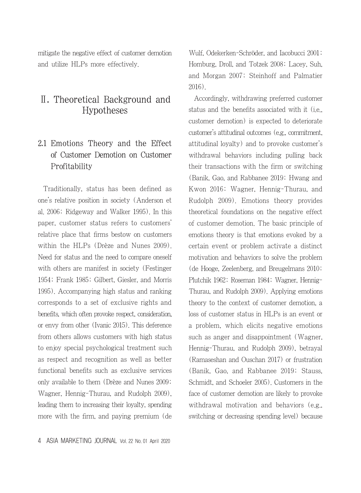mitigate the negative effect of customer demotion and utilize HLPs more effectively.

# Ⅱ. Theoretical Background and Hypotheses

# 2.1 Emotions Theory and the Effect of Customer Demotion on Customer Profitability

Traditionally, status has been defined as one's relative position in society (Anderson et al. 2006; Ridgeway and Walker 1995). In this paper, customer status refers to customers' relative place that firms bestow on customers within the HLPs (Drèze and Nunes 2009). Need for status and the need to compare oneself with others are manifest in society (Festinger 1954; Frank 1985; Gilbert, Giesler, and Morris 1995). Accompanying high status and ranking corresponds to a set of exclusive rights and benefits, which often provoke respect, consideration, or envy from other (Ivanic 2015). This deference from others allows customers with high status to enjoy special psychological treatment such as respect and recognition as well as better functional benefits such as exclusive services only available to them (Drèze and Nunes 2009; Wagner, Hennig-Thurau, and Rudolph 2009), leading them to increasing their loyalty, spending more with the firm, and paying premium (de

4 ASIA MARKETING JOURNAL Vol. 22 No. 01 April 2020

Wulf, Odekerken-Schröder, and Iacobucci 2001; Homburg, Droll, and Totzek 2008; Lacey, Suh, and Morgan 2007; Steinhoff and Palmatier 2016).

Accordingly, withdrawing preferred customer status and the benefits associated with it (i.e., customer demotion) is expected to deteriorate customer's attitudinal outcomes (e.g., commitment, attitudinal loyalty) and to provoke customer's withdrawal behaviors including pulling back their transactions with the firm or switching (Banik, Gao, and Rabbanee 2019; Hwang and Kwon 2016; Wagner, Hennig-Thurau, and Rudolph 2009). Emotions theory provides theoretical foundations on the negative effect of customer demotion. The basic principle of emotions theory is that emotions evoked by a certain event or problem activate a distinct motivation and behaviors to solve the problem (de Hooge, Zeelenberg, and Breugelmans 2010; Plutchik 1962; Roseman 1984; Wagner, Hennig-Thurau, and Rudolph 2009). Applying emotions theory to the context of customer demotion, a loss of customer status in HLPs is an event or a problem, which elicits negative emotions such as anger and disappointment (Wagner, Hennig-Thurau, and Rudolph 2009), betrayal (Ramaseshan and Ouschan 2017) or frustration (Banik, Gao, and Rabbanee 2019; Stauss, Schmidt, and Schoeler 2005). Customers in the face of customer demotion are likely to provoke withdrawal motivation and behaviors (e.g., switching or decreasing spending level) because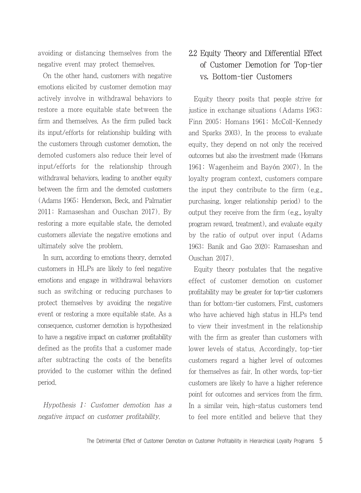avoiding or distancing themselves from the negative event may protect themselves.

On the other hand, customers with negative emotions elicited by customer demotion may actively involve in withdrawal behaviors to restore a more equitable state between the firm and themselves. As the firm pulled back its input/efforts for relationship building with the customers through customer demotion, the demoted customers also reduce their level of input/efforts for the relationship through withdrawal behaviors, leading to another equity between the firm and the demoted customers (Adams 1965; Henderson, Beck, and Palmatier 2011; Ramaseshan and Ouschan 2017). By restoring a more equitable state, the demoted customers alleviate the negative emotions and ultimately solve the problem.

In sum, according to emotions theory, demoted customers in HLPs are likely to feel negative emotions and engage in withdrawal behaviors such as switching or reducing purchases to protect themselves by avoiding the negative event or restoring a more equitable state. As a consequence, customer demotion is hypothesized to have a negative impact on customer profitability defined as the profits that a customer made after subtracting the costs of the benefits provided to the customer within the defined period.

Hypothesis 1: Customer demotion has a negative impact on customer profitability.

# 2.2 Equity Theory and Differential Effect of Customer Demotion for Top-tier vs. Bottom-tier Customers

Equity theory posits that people strive for justice in exchange situations (Adams 1963; Finn 2005; Homans 1961; McColl-Kennedy and Sparks 2003). In the process to evaluate equity, they depend on not only the received outcomes but also the investment made (Homans 1961; Wagenheim and Bayón 2007). In the loyalty program context, customers compare the input they contribute to the firm (e.g., purchasing, longer relationship period) to the output they receive from the firm (e.g., loyalty program reward, treatment), and evaluate equity by the ratio of output over input (Adams 1963; Banik and Gao 2020; Ramaseshan and Ouschan 2017).

Equity theory postulates that the negative effect of customer demotion on customer profitability may be greater for top-tier customers than for bottom-tier customers. First, customers who have achieved high status in HLPs tend to view their investment in the relationship with the firm as greater than customers with lower levels of status. Accordingly, top-tier customers regard a higher level of outcomes for themselves as fair. In other words, top-tier customers are likely to have a higher reference point for outcomes and services from the firm. In a similar vein, high-status customers tend to feel more entitled and believe that they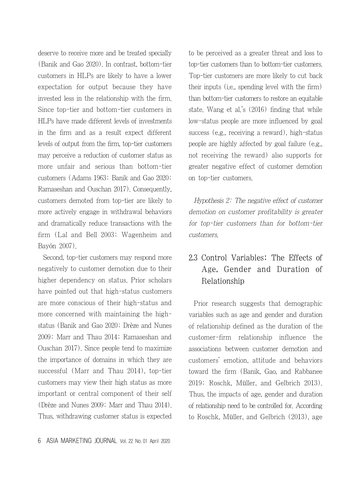deserve to receive more and be treated specially (Banik and Gao 2020). In contrast, bottom-tier customers in HLPs are likely to have a lower expectation for output because they have invested less in the relationship with the firm. Since top-tier and bottom-tier customers in HLPs have made different levels of investments in the firm and as a result expect different levels of output from the firm, top-tier customers may perceive a reduction of customer status as more unfair and serious than bottom-tier customers (Adams 1963; Banik and Gao 2020; Ramaseshan and Ouschan 2017). Consequently, customers demoted from top-tier are likely to more actively engage in withdrawal behaviors and dramatically reduce transactions with the firm (Lal and Bell 2003; Wagenheim and Bayón 2007).

Second, top-tier customers may respond more negatively to customer demotion due to their higher dependency on status. Prior scholars have pointed out that high-status customers are more conscious of their high-status and more concerned with maintaining the highstatus (Banik and Gao 2020; Drèze and Nunes 2009; Marr and Thau 2014; Ramaseshan and Ouschan 2017). Since people tend to maximize the importance of domains in which they are successful (Marr and Thau 2014), top-tier customers may view their high status as more important or central component of their self (Drèze and Nunes 2009; Marr and Thau 2014). Thus, withdrawing customer status is expected to be perceived as a greater threat and loss to top-tier customers than to bottom-tier customers. Top-tier customers are more likely to cut back their inputs (i.e., spending level with the firm) than bottom-tier customers to restore an equitable state. Wang et al.'s (2016) finding that while low-status people are more influenced by goal success (e.g., receiving a reward), high-status people are highly affected by goal failure (e.g., not receiving the reward) also supports for greater negative effect of customer demotion on top-tier customers.

Hypothesis 2: The negative effect of customer demotion on customer profitability is greater for top-tier customers than for bottom-tier customers.

# 2.3 Control Variables: The Effects of Age, Gender and Duration of Relationship

Prior research suggests that demographic variables such as age and gender and duration of relationship defined as the duration of the customer-firm relationship influence the associations between customer demotion and customers' emotion, attitude and behaviors toward the firm (Banik, Gao, and Rabbanee 2019; Roschk, Müller, and Gelbrich 2013). Thus, the impacts of age, gender and duration of relationship need to be controlled for. According to Roschk, Müller, and Gelbrich (2013), age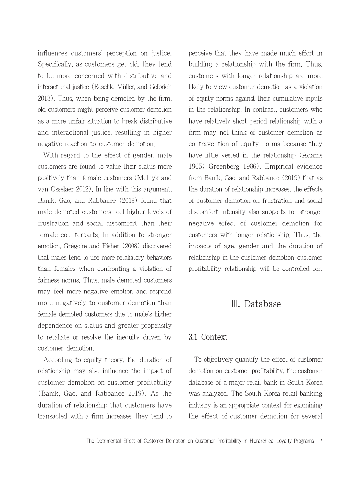influences customers' perception on justice. Specifically, as customers get old, they tend to be more concerned with distributive and interactional justice (Roschk, Müller, and Gelbrich 2013). Thus, when being demoted by the firm, old customers might perceive customer demotion as a more unfair situation to break distributive and interactional justice, resulting in higher negative reaction to customer demotion.

With regard to the effect of gender, male customers are found to value their status more positively than female customers (Melnyk and van Osselaer 2012). In line with this argument, Banik, Gao, and Rabbanee (2019) found that male demoted customers feel higher levels of frustration and social discomfort than their female counterparts. In addition to stronger emotion, Grégoire and Fisher (2008) discovered that males tend to use more retaliatory behaviors than females when confronting a violation of fairness norms. Thus, male demoted customers may feel more negative emotion and respond more negatively to customer demotion than female demoted customers due to male's higher dependence on status and greater propensity to retaliate or resolve the inequity driven by customer demotion.

According to equity theory, the duration of relationship may also influence the impact of customer demotion on customer profitability (Banik, Gao, and Rabbanee 2019). As the duration of relationship that customers have transacted with a firm increases, they tend to perceive that they have made much effort in building a relationship with the firm. Thus, customers with longer relationship are more likely to view customer demotion as a violation of equity norms against their cumulative inputs in the relationship. In contrast, customers who have relatively short-period relationship with a firm may not think of customer demotion as contravention of equity norms because they have little vested in the relationship (Adams 1965; Greenberg 1986). Empirical evidence from Banik, Gao, and Rabbanee (2019) that as the duration of relationship increases, the effects of customer demotion on frustration and social discomfort intensify also supports for stronger negative effect of customer demotion for customers with longer relationship. Thus, the impacts of age, gender and the duration of relationship in the customer demotion-customer profitability relationship will be controlled for.

## Ⅲ. Database

#### 3.1 Context

To objectively quantify the effect of customer demotion on customer profitability, the customer database of a major retail bank in South Korea was analyzed. The South Korea retail banking industry is an appropriate context for examining the effect of customer demotion for several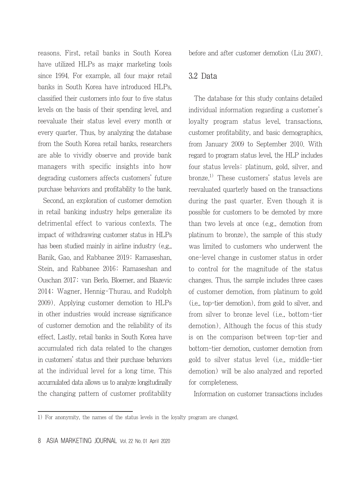reasons. First, retail banks in South Korea have utilized HLPs as major marketing tools since 1994. For example, all four major retail banks in South Korea have introduced HLPs, classified their customers into four to five status levels on the basis of their spending level, and reevaluate their status level every month or every quarter. Thus, by analyzing the database from the South Korea retail banks, researchers are able to vividly observe and provide bank managers with specific insights into how degrading customers affects customers' future purchase behaviors and profitability to the bank.

Second, an exploration of customer demotion in retail banking industry helps generalize its detrimental effect to various contexts. The impact of withdrawing customer status in HLPs has been studied mainly in airline industry (e.g., Banik, Gao, and Rabbanee 2019; Ramaseshan, Stein, and Rabbanee 2016; Ramaseshan and Ouschan 2017; van Berlo, Bloemer, and Blazevic 2014; Wagner, Hennig-Thurau, and Rudolph 2009). Applying customer demotion to HLPs in other industries would increase significance of customer demotion and the reliability of its effect. Lastly, retail banks in South Korea have accumulated rich data related to the changes in customers' status and their purchase behaviors at the individual level for a long time. This accumulated data allows us to analyze longitudinally the changing pattern of customer profitability

before and after customer demotion (Liu 2007).

#### 3.2 Data

The database for this study contains detailed individual information regarding a customer's loyalty program status level, transactions, customer profitability, and basic demographics, from January 2009 to September 2010. With regard to program status level, the HLP includes four status levels: platinum, gold, silver, and bronze.<sup>1)</sup> These customers' status levels are reevaluated quarterly based on the transactions during the past quarter. Even though it is possible for customers to be demoted by more than two levels at once (e.g., demotion from platinum to bronze), the sample of this study was limited to customers who underwent the one-level change in customer status in order to control for the magnitude of the status changes. Thus, the sample includes three cases of customer demotion, from platinum to gold (i.e., top-tier demotion), from gold to silver, and from silver to bronze level (i.e., bottom-tier demotion). Although the focus of this study is on the comparison between top-tier and bottom-tier demotion, customer demotion from gold to silver status level (i.e., middle-tier demotion) will be also analyzed and reported for completeness.

Information on customer transactions includes

<sup>1)</sup> For anonymity, the names of the status levels in the loyalty program are changed.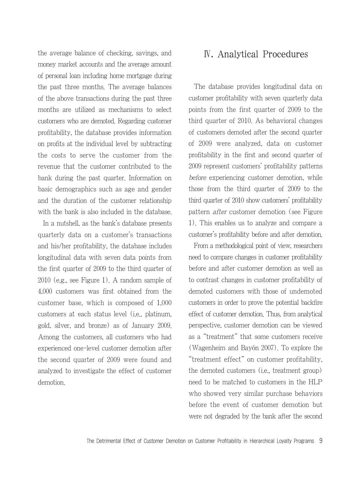the average balance of checking, savings, and money market accounts and the average amount of personal loan including home mortgage during the past three months. The average balances of the above transactions during the past three months are utilized as mechanisms to select customers who are demoted. Regarding customer profitability, the database provides information on profits at the individual level by subtracting the costs to serve the customer from the revenue that the customer contributed to the bank during the past quarter. Information on basic demographics such as age and gender and the duration of the customer relationship with the bank is also included in the database.

In a nutshell, as the bank's database presents quarterly data on a customer's transactions and his/her profitability, the database includes longitudinal data with seven data points from the first quarter of 2009 to the third quarter of 2010 (e.g., see Figure 1). A random sample of 4,000 customers was first obtained from the customer base, which is composed of 1,000 customers at each status level (i.e., platinum, gold, silver, and bronze) as of January 2009. Among the customers, all customers who had experienced one-level customer demotion after the second quarter of 2009 were found and analyzed to investigate the effect of customer demotion.

# Ⅳ. Analytical Procedures

The database provides longitudinal data on customer profitability with seven quarterly data points from the first quarter of 2009 to the third quarter of 2010. As behavioral changes of customers demoted after the second quarter of 2009 were analyzed, data on customer profitability in the first and second quarter of 2009 represent customers' profitability patterns before experiencing customer demotion, while those from the third quarter of 2009 to the third quarter of 2010 show customers' profitability pattern after customer demotion (see Figure 1). This enables us to analyze and compare a customer's profitability before and after demotion.

From a methodological point of view, researchers need to compare changes in customer profitability before and after customer demotion as well as to contrast changes in customer profitability of demoted customers with those of undemoted customers in order to prove the potential backfire effect of customer demotion. Thus, from analytical perspective, customer demotion can be viewed as a "treatment" that some customers receive (Wagenheim and Bayón 2007). To explore the "treatment effect" on customer profitability, the demoted customers (i.e., treatment group) need to be matched to customers in the HLP who showed very similar purchase behaviors before the event of customer demotion but were not degraded by the bank after the second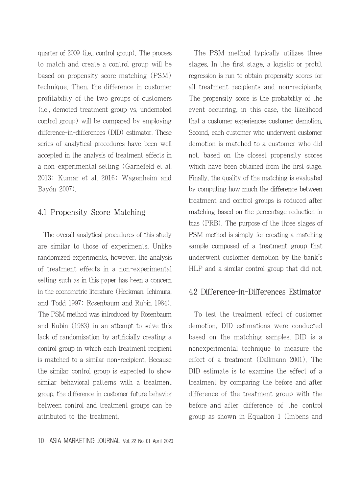quarter of 2009 (i.e., control group). The process to match and create a control group will be based on propensity score matching (PSM) technique. Then, the difference in customer profitability of the two groups of customers (i.e., demoted treatment group vs. undemoted control group) will be compared by employing difference-in-differences (DID) estimator. These series of analytical procedures have been well accepted in the analysis of treatment effects in a non-experimental setting (Garnefeld et al. 2013; Kumar et al. 2016; Wagenheim and Bayón 2007).

#### 4.1 Propensity Score Matching

The overall analytical procedures of this study are similar to those of experiments. Unlike randomized experiments, however, the analysis of treatment effects in a non-experimental setting such as in this paper has been a concern in the econometric literature (Heckman, Ichimura, and Todd 1997; Rosenbaum and Rubin 1984). The PSM method was introduced by Rosenbaum and Rubin (1983) in an attempt to solve this lack of randomization by artificially creating a control group in which each treatment recipient is matched to a similar non-recipient. Because the similar control group is expected to show similar behavioral patterns with a treatment group, the difference in customer future behavior between control and treatment groups can be attributed to the treatment.

stages. In the first stage, a logistic or probit regression is run to obtain propensity scores for all treatment recipients and non-recipients. The propensity score is the probability of the event occurring, in this case, the likelihood that a customer experiences customer demotion. Second, each customer who underwent customer demotion is matched to a customer who did not, based on the closest propensity scores which have been obtained from the first stage. Finally, the quality of the matching is evaluated by computing how much the difference between treatment and control groups is reduced after matching based on the percentage reduction in bias (PRB). The purpose of the three stages of PSM method is simply for creating a matching sample composed of a treatment group that underwent customer demotion by the bank's HLP and a similar control group that did not.

The PSM method typically utilizes three

#### 4.2 Difference-in-Differences Estimator

To test the treatment effect of customer demotion, DID estimations were conducted based on the matching samples. DID is a nonexperimental technique to measure the effect of a treatment (Dallmann 2001). The DID estimate is to examine the effect of a treatment by comparing the before-and-after difference of the treatment group with the before-and-after difference of the control group as shown in Equation 1 (Imbens and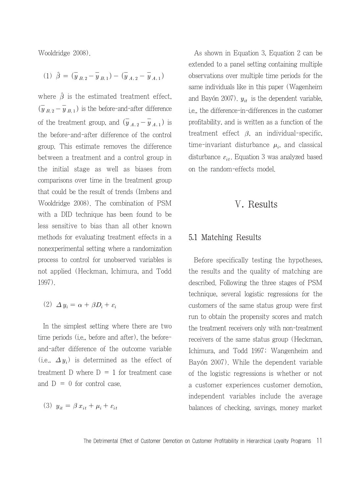Wooldridge 2008).

(1) 
$$
\hat{\beta} = (\overline{y}_{B,2} - \overline{y}_{B,1}) - (\overline{y}_{A,2} - \overline{y}_{A,1})
$$

where  $\hat{\beta}$  is the estimated treatment effect,  $(\overline{y}_{B,2} - \overline{y}_{B,1})$  is the before-and-after difference of the treatment group, and  $(\overline{y}_{A,2} - \overline{y}_{A,1})$  is the before-and-after difference of the control group. This estimate removes the difference between a treatment and a control group in the initial stage as well as biases from comparisons over time in the treatment group that could be the result of trends (Imbens and Wooldridge 2008). The combination of PSM with a DID technique has been found to be less sensitive to bias than all other known methods for evaluating treatment effects in a nonexperimental setting where a randomization process to control for unobserved variables is not applied (Heckman, Ichimura, and Todd 1997).

$$
(2) \ \Delta y_i = \alpha + \beta D_i + \varepsilon_i
$$

In the simplest setting where there are two time periods (i.e., before and after), the beforeand-after difference of the outcome variable (i.e.,  $\Delta y_i$ ) is determined as the effect of treatment D where  $D = 1$  for treatment case and  $D = 0$  for control case.

$$
(3) y_{it} = \beta x_{it} + \mu_i + \varepsilon_{it}
$$

As shown in Equation 3, Equation 2 can be extended to a panel setting containing multiple observations over multiple time periods for the same individuals like in this paper (Wagenheim and Bayón 2007).  $y_{it}$  is the dependent variable, i.e., the difference-in-differences in the customer profitability, and is written as a function of the treatment effect  $\beta$ , an individual-specific, time-invariant disturbance  $\mu_i$ , and classical disturbance  $\varepsilon_{it}$ . Equation 3 was analyzed based on the random-effects model.

### Ⅴ. Results

#### 5.1 Matching Results

Before specifically testing the hypotheses, the results and the quality of matching are described. Following the three stages of PSM technique, several logistic regressions for the customers of the same status group were first run to obtain the propensity scores and match the treatment receivers only with non-treatment receivers of the same status group (Heckman, Ichimura, and Todd 1997; Wangenheim and Bayón 2007). While the dependent variable of the logistic regressions is whether or not a customer experiences customer demotion, independent variables include the average balances of checking, savings, money market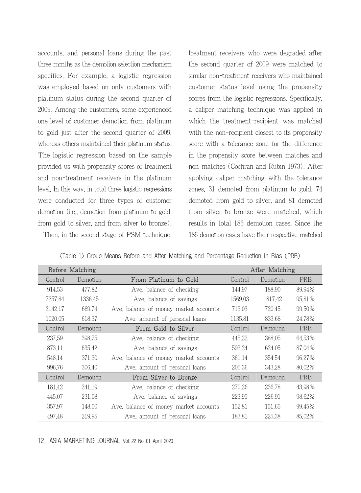accounts, and personal loans during the past three months as the demotion selection mechanism specifies. For example, a logistic regression was employed based on only customers with platinum status during the second quarter of 2009. Among the customers, some experienced one level of customer demotion from platinum to gold just after the second quarter of 2009, whereas others maintained their platinum status. The logistic regression based on the sample provided us with propensity scores of treatment and non-treatment receivers in the platinum level. In this way, in total three logistic regressions were conducted for three types of customer demotion (i.e., demotion from platinum to gold, from gold to silver, and from silver to bronze).

Then, in the second stage of PSM technique,

treatment receivers who were degraded after the second quarter of 2009 were matched to similar non-treatment receivers who maintained customer status level using the propensity scores from the logistic regressions. Specifically, a caliper matching technique was applied in which the treatment-recipient was matched with the non-recipient closest to its propensity score with a tolerance zone for the difference in the propensity score between matches and non-matches (Cochran and Rubin 1973). After applying caliper matching with the tolerance zones, 31 demoted from platinum to gold, 74 demoted from gold to silver, and 81 demoted from silver to bronze were matched, which results in total 186 demotion cases. Since the 186 demotion cases have their respective matched

| Before Matching |          |                                       | After Matching |          |            |
|-----------------|----------|---------------------------------------|----------------|----------|------------|
| Control         | Demotion | From Platinum to Gold                 | Control        | Demotion | <b>PRB</b> |
| 914.53          | 477.82   | Ave, balance of checking              | 144.97         | 188.90   | 89.94%     |
| 7257.84         | 1336.45  | Ave, balance of savings               | 1569.03        | 1817.42  | 95.81%     |
| 2142.17         | 669.74   | Ave, balance of money market accounts | 713.03         | 720.45   | 99.50%     |
| 1020.05         | 618.37   | Ave, amount of personal loans         | 1135.81        | 833.68   | 24.78%     |
| Control         | Demotion | From Gold to Silver                   | Control        | Demotion | <b>PRB</b> |
| 237.59          | 398.75   | Ave, balance of checking              | 445.22         | 388,05   | 64.53%     |
| 873.11          | 635.42   | Ave, balance of savings               | 593.24         | 624.05   | 87.04%     |
| 548.14          | 371.30   | Ave, balance of money market accounts | 361.14         | 354.54   | 96.27%     |
| 996.76          | 306.40   | Ave, amount of personal loans         | 205,36         | 343.28   | 80.02%     |
| Control         | Demotion | From Silver to Bronze                 | Control        | Demotion | <b>PRB</b> |
| 181.42          | 241.19   | Ave, balance of checking              | 270.26         | 236.78   | 43.98%     |
| 445.07          | 231.08   | Ave, balance of savings               | 223.95         | 226.91   | 98.62%     |
| 357.97          | 148.00   | Ave, balance of money market accounts | 152.81         | 151.65   | 99.45%     |
| 497.48          | 219.95   | Ave, amount of personal loans         | 183.81         | 225.38   | 85.02%     |

<Table 1> Group Means Before and After Matching and Percentage Reduction in Bias (PRB)

12 ASIA MARKETING JOURNAL Vol. 22 No. 01 April 2020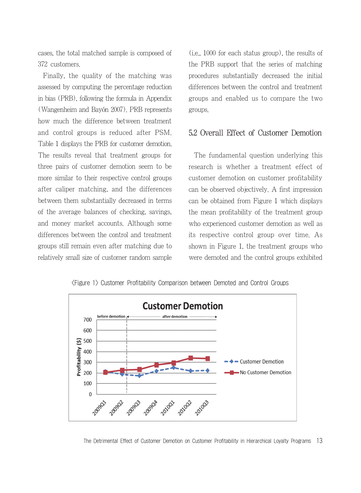cases, the total matched sample is composed of 372 customers.

Finally, the quality of the matching was assessed by computing the percentage reduction in bias (PRB), following the formula in Appendix (Wangenheim and Bayón 2007). PRB represents how much the difference between treatment and control groups is reduced after PSM. Table 1 displays the PRB for customer demotion. The results reveal that treatment groups for three pairs of customer demotion seem to be more similar to their respective control groups after caliper matching, and the differences between them substantially decreased in terms of the average balances of checking, savings, and money market accounts. Although some differences between the control and treatment groups still remain even after matching due to relatively small size of customer random sample (i.e., 1000 for each status group), the results of the PRB support that the series of matching procedures substantially decreased the initial differences between the control and treatment groups and enabled us to compare the two groups.

#### 5.2 Overall Effect of Customer Demotion

The fundamental question underlying this research is whether a treatment effect of customer demotion on customer profitability can be observed objectively. A first impression can be obtained from Figure 1 which displays the mean profitability of the treatment group who experienced customer demotion as well as its respective control group over time. As shown in Figure 1, the treatment groups who were demoted and the control groups exhibited





The Detrimental Effect of Customer Demotion on Customer Profitability in Hierarchical Loyalty Programs 13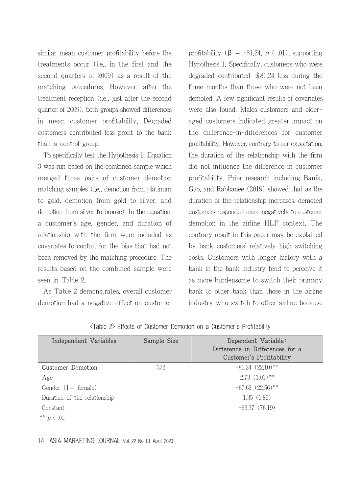similar mean customer profitability before the treatments occur (i.e., in the first and the second quarters of 2009) as a result of the matching procedures. However, after the treatment reception (i.e., just after the second quarter of 2009), both groups showed differences in mean customer profitability. Degraded customers contributed less profit to the bank than a control group.

To specifically test the Hypothesis 1, Equation 3 was run based on the combined sample which merged three pairs of customer demotion matching samples (i.e., demotion from platinum to gold, demotion from gold to silver, and demotion from silver to bronze). In the equation, a customer's age, gender, and duration of relationship with the firm were included as covariates to control for the bias that had not been removed by the matching procedure. The results based on the combined sample were seen in Table 2.

As Table 2 demonstrates, overall customer demotion had a negative effect on customer profitability ( $\beta$  = -81.24,  $p \langle .01 \rangle$ , supporting Hypothesis 1. Specifically, customers who were degraded contributed \$81.24 less during the three months than those who were not been demoted. A few significant results of covariates were also found. Males customers and olderaged customers indicated greater impact on the difference-in-differences for customer profitability. However, contrary to our expectation, the duration of the relationship with the firm did not influence the difference in customer profitability. Prior research including Banik, Gao, and Rabbanee (2019) showed that as the duration of the relationship increases, demoted customers responded more negatively to customer demotion in the airline HLP context. The contrary result in this paper may be explained by bank customers' relatively high switching costs. Customers with longer history with a bank in the bank industry tend to perceive it as more burdensome to switch their primary bank to other bank than those in the airline industry who switch to other airline because

| Independent Variables        | Sample Size | Dependent Variable:<br>Difference-in-Differences for a<br>Customer's Profitability |
|------------------------------|-------------|------------------------------------------------------------------------------------|
| Customer Demotion            | 372         | $-81.24$ $(22.10)$ **                                                              |
| Age                          |             | $2.73(1.01)$ **                                                                    |
| Gender $(1 = \text{female})$ |             | $-67.62$ $(22.56)$ **                                                              |
| Duration of the relationship |             | 1.35(1.89)                                                                         |
| Constant                     |             | $-63.37(76.19)$                                                                    |

| <table 2=""> Effects of Customer Demotion on a Customer's Profitability</table> |  |  |  |  |  |
|---------------------------------------------------------------------------------|--|--|--|--|--|
|---------------------------------------------------------------------------------|--|--|--|--|--|

\*\*  $p \, \langle \, .01 \rangle$ 

#### 14 ASIA MARKETING JOURNAL Vol. 22 No. 01 April 2020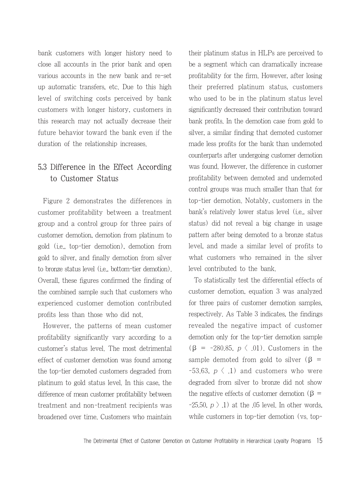bank customers with longer history need to close all accounts in the prior bank and open various accounts in the new bank and re-set up automatic transfers, etc. Due to this high level of switching costs perceived by bank customers with longer history, customers in this research may not actually decrease their future behavior toward the bank even if the duration of the relationship increases.

# 5.3 Difference in the Effect According to Customer Status

Figure 2 demonstrates the differences in customer profitability between a treatment group and a control group for three pairs of customer demotion, demotion from platinum to gold (i.e., top-tier demotion), demotion from gold to silver, and finally demotion from silver to bronze status level (i.e., bottom-tier demotion). Overall, these figures confirmed the finding of the combined sample such that customers who experienced customer demotion contributed profits less than those who did not.

However, the patterns of mean customer profitability significantly vary according to a customer's status level. The most detrimental effect of customer demotion was found among the top-tier demoted customers degraded from platinum to gold status level. In this case, the difference of mean customer profitability between treatment and non-treatment recipients was broadened over time. Customers who maintain

their platinum status in HLPs are perceived to be a segment which can dramatically increase profitability for the firm. However, after losing their preferred platinum status, customers who used to be in the platinum status level significantly decreased their contribution toward bank profits. In the demotion case from gold to silver, a similar finding that demoted customer made less profits for the bank than undemoted counterparts after undergoing customer demotion was found. However, the difference in customer profitability between demoted and undemoted control groups was much smaller than that for top-tier demotion. Notably, customers in the bank's relatively lower status level (i.e., silver status) did not reveal a big change in usage pattern after being demoted to a bronze status level, and made a similar level of profits to what customers who remained in the silver level contributed to the bank.

To statistically test the differential effects of customer demotion, equation 3 was analyzed for three pairs of customer demotion samples, respectively. As Table 3 indicates, the findings revealed the negative impact of customer demotion only for the top-tier demotion sample  $(\beta = -280.85, p \langle .01 \rangle)$ . Customers in the sample demoted from gold to silver ( $\beta$  = -53.63,  $p \langle .1 \rangle$  and customers who were degraded from silver to bronze did not show the negative effects of customer demotion (β = -25.50,  $p \nightharpoonup 1$ ) at the .05 level. In other words, while customers in top-tier demotion (vs. top-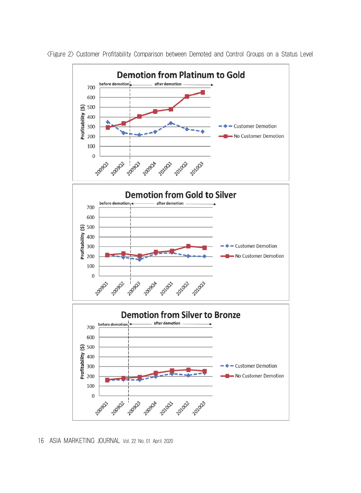

<Figure 2> Customer Profitability Comparison between Demoted and Control Groups on a Status Level

16 ASIA MARKETING JOURNAL Vol. 22 No. 01 April 2020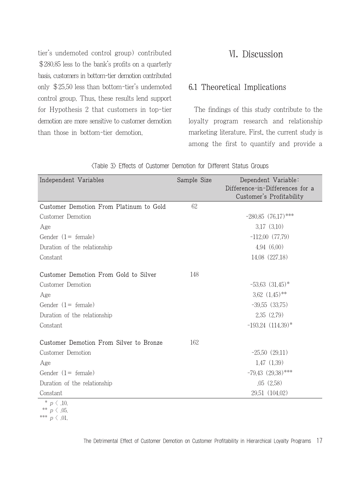tier's undemoted control group) contributed \$280.85 less to the bank's profits on a quarterly basis, customers in bottom-tier demotion contributed only \$25.50 less than bottom-tier's undemoted control group. Thus, these results lend support for Hypothesis 2 that customers in top-tier demotion are more sensitive to customer demotion than those in bottom-tier demotion.

# Ⅵ. Discussion

### 6.1 Theoretical Implications

The findings of this study contribute to the loyalty program research and relationship marketing literature. First, the current study is among the first to quantify and provide a

| Independent Variables                   | Sample Size | Dependent Variable:                                         |
|-----------------------------------------|-------------|-------------------------------------------------------------|
|                                         |             | Difference-in-Differences for a<br>Customer's Profitability |
| Customer Demotion From Platinum to Gold | 62          |                                                             |
| Customer Demotion                       |             | $-280.85$ $(76.17)$ ***                                     |
| Age                                     |             | 3.17(3.10)                                                  |
| Gender $(1 = \text{female})$            |             | $-112,00$ $(77,79)$                                         |
| Duration of the relationship            |             | 4.94(6.00)                                                  |
| Constant                                |             | 14.08 (227.18)                                              |
| Customer Demotion From Gold to Silver   | 148         |                                                             |
| Customer Demotion                       |             | $-53.63$ $(31.45)^*$                                        |
| Age                                     |             | $3.62 \ (1.45)$ **                                          |
| Gender $(1 = \text{female})$            |             | $-39.55$ $(33.75)$                                          |
| Duration of the relationship            |             | 2.35(2.79)                                                  |
| Constant                                |             | $-193.24$ $(114.39)$ <sup>*</sup>                           |
| Customer Demotion From Silver to Bronze | 162         |                                                             |
| Customer Demotion                       |             | $-25,50(29,11)$                                             |
| Age                                     |             | 1.47(1.39)                                                  |
| Gender $(1 = \text{female})$            |             | $-79.43$ $(29.38)$ ***                                      |
| Duration of the relationship            |             | .05(2.58)                                                   |
| Constant                                |             | 29,51 (104,02)                                              |

<Table 3> Effects of Customer Demotion for Different Status Groups

\*  $p \langle .10.$ 

\*\*  $p \, \langle \, .05, \, .05 \, \rangle$ 

\*\*\*  $p \, \langle \, 01 \rangle$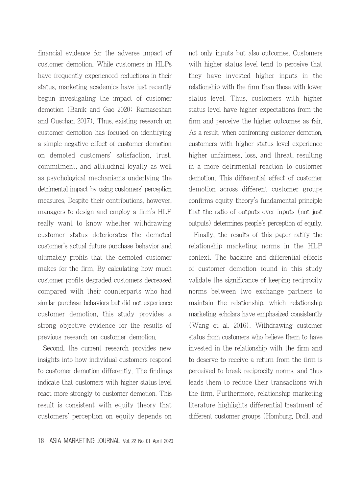financial evidence for the adverse impact of customer demotion. While customers in HLPs have frequently experienced reductions in their status, marketing academics have just recently begun investigating the impact of customer demotion (Banik and Gao 2020; Ramaseshan and Ouschan 2017). Thus, existing research on customer demotion has focused on identifying a simple negative effect of customer demotion on demoted customers' satisfaction, trust, commitment, and attitudinal loyalty as well as psychological mechanisms underlying the detrimental impact by using customers' perception measures. Despite their contributions, however, managers to design and employ a firm's HLP really want to know whether withdrawing customer status deteriorates the demoted customer's actual future purchase behavior and ultimately profits that the demoted customer makes for the firm. By calculating how much customer profits degraded customers decreased compared with their counterparts who had similar purchase behaviors but did not experience customer demotion, this study provides a strong objective evidence for the results of previous research on customer demotion.

Second, the current research provides new insights into how individual customers respond to customer demotion differently. The findings indicate that customers with higher status level react more strongly to customer demotion. This result is consistent with equity theory that customers' perception on equity depends on not only inputs but also outcomes. Customers with higher status level tend to perceive that they have invested higher inputs in the relationship with the firm than those with lower status level. Thus, customers with higher status level have higher expectations from the firm and perceive the higher outcomes as fair. As a result, when confronting customer demotion, customers with higher status level experience higher unfairness, loss, and threat, resulting in a more detrimental reaction to customer demotion. This differential effect of customer demotion across different customer groups confirms equity theory's fundamental principle that the ratio of outputs over inputs (not just outputs) determines people's perception of equity.

Finally, the results of this paper ratify the relationship marketing norms in the HLP context. The backfire and differential effects of customer demotion found in this study validate the significance of keeping reciprocity norms between two exchange partners to maintain the relationship, which relationship marketing scholars have emphasized consistently (Wang et al. 2016). Withdrawing customer status from customers who believe them to have invested in the relationship with the firm and to deserve to receive a return from the firm is perceived to break reciprocity norms, and thus leads them to reduce their transactions with the firm. Furthermore, relationship marketing literature highlights differential treatment of different customer groups (Homburg, Droll, and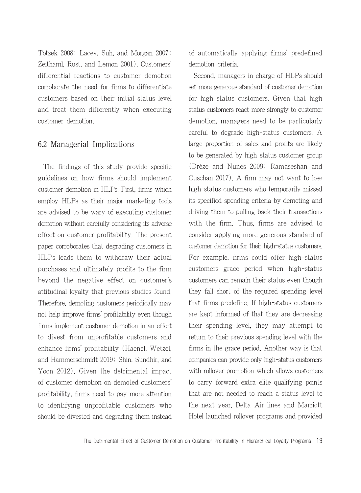Totzek 2008; Lacey, Suh, and Morgan 2007; Zeithaml, Rust, and Lemon 2001). Customers' differential reactions to customer demotion corroborate the need for firms to differentiate customers based on their initial status level and treat them differently when executing customer demotion.

### 6.2 Managerial Implications

The findings of this study provide specific guidelines on how firms should implement customer demotion in HLPs. First, firms which employ HLPs as their major marketing tools are advised to be wary of executing customer demotion without carefully considering its adverse effect on customer profitability. The present paper corroborates that degrading customers in HLPs leads them to withdraw their actual purchases and ultimately profits to the firm beyond the negative effect on customer's attitudinal loyalty that previous studies found. Therefore, demoting customers periodically may not help improve firms' profitability even though firms implement customer demotion in an effort to divest from unprofitable customers and enhance firms' profitability (Haenel, Wetzel, and Hammerschmidt 2019; Shin, Sundhir, and Yoon 2012). Given the detrimental impact of customer demotion on demoted customers' profitability, firms need to pay more attention to identifying unprofitable customers who should be divested and degrading them instead of automatically applying firms' predefined demotion criteria.

Second, managers in charge of HLPs should set more generous standard of customer demotion for high-status customers. Given that high status customers react more strongly to customer demotion, managers need to be particularly careful to degrade high-status customers. A large proportion of sales and profits are likely to be generated by high-status customer group (Drèze and Nunes 2009; Ramaseshan and Ouschan 2017). A firm may not want to lose high-status customers who temporarily missed its specified spending criteria by demoting and driving them to pulling back their transactions with the firm. Thus, firms are advised to consider applying more generous standard of customer demotion for their high-status customers. For example, firms could offer high-status customers grace period when high-status customers can remain their status even though they fall short of the required spending level that firms predefine. If high-status customers are kept informed of that they are decreasing their spending level, they may attempt to return to their previous spending level with the firms in the grace period. Another way is that companies can provide only high-status customers with rollover promotion which allows customers to carry forward extra elite-qualifying points that are not needed to reach a status level to the next year. Delta Air lines and Marriott Hotel launched rollover programs and provided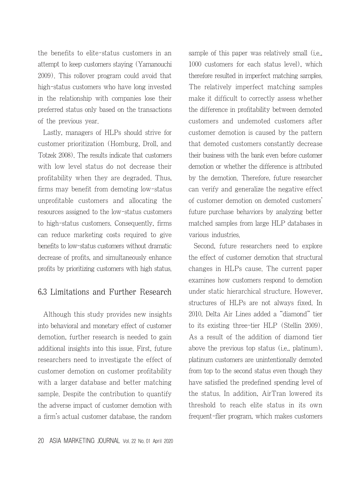the benefits to elite-status customers in an attempt to keep customers staying (Yamanouchi 2009). This rollover program could avoid that high-status customers who have long invested in the relationship with companies lose their preferred status only based on the transactions of the previous year.

Lastly, managers of HLPs should strive for customer prioritization (Homburg, Droll, and Totzek 2008). The results indicate that customers with low level status do not decrease their profitability when they are degraded. Thus, firms may benefit from demoting low-status unprofitable customers and allocating the resources assigned to the low-status customers to high-status customers. Consequently, firms can reduce marketing costs required to give benefits to low-status customers without dramatic decrease of profits, and simultaneously enhance profits by prioritizing customers with high status.

### 6.3 Limitations and Further Research

Although this study provides new insights into behavioral and monetary effect of customer demotion, further research is needed to gain additional insights into this issue. First, future researchers need to investigate the effect of customer demotion on customer profitability with a larger database and better matching sample. Despite the contribution to quantify the adverse impact of customer demotion with a firm's actual customer database, the random sample of this paper was relatively small (i.e., 1000 customers for each status level), which therefore resulted in imperfect matching samples. The relatively imperfect matching samples make it difficult to correctly assess whether the difference in profitability between demoted customers and undemoted customers after customer demotion is caused by the pattern that demoted customers constantly decrease their business with the bank even before customer demotion or whether the difference is attributed by the demotion. Therefore, future researcher can verify and generalize the negative effect of customer demotion on demoted customers' future purchase behaviors by analyzing better matched samples from large HLP databases in various industries.

Second, future researchers need to explore the effect of customer demotion that structural changes in HLPs cause. The current paper examines how customers respond to demotion under static hierarchical structure. However, structures of HLPs are not always fixed. In 2010, Delta Air Lines added a "diamond" tier to its existing three-tier HLP (Stellin 2009). As a result of the addition of diamond tier above the previous top status (i.e., platinum), platinum customers are unintentionally demoted from top to the second status even though they have satisfied the predefined spending level of the status. In addition, AirTran lowered its threshold to reach elite status in its own frequent-flier program, which makes customers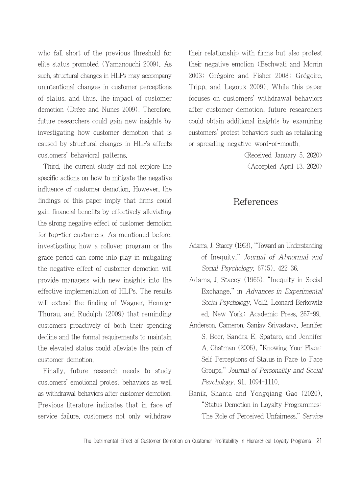who fall short of the previous threshold for elite status promoted (Yamanouchi 2009). As such, structural changes in HLPs may accompany unintentional changes in customer perceptions of status, and thus, the impact of customer demotion (Dréze and Nunes 2009). Therefore, future researchers could gain new insights by investigating how customer demotion that is caused by structural changes in HLPs affects customers' behavioral patterns.

Third, the current study did not explore the specific actions on how to mitigate the negative influence of customer demotion. However, the findings of this paper imply that firms could gain financial benefits by effectively alleviating the strong negative effect of customer demotion for top-tier customers. As mentioned before, investigating how a rollover program or the grace period can come into play in mitigating the negative effect of customer demotion will provide managers with new insights into the effective implementation of HLPs. The results will extend the finding of Wagner, Hennig-Thurau, and Rudolph (2009) that reminding customers proactively of both their spending decline and the formal requirements to maintain the elevated status could alleviate the pain of customer demotion.

Finally, future research needs to study customers' emotional protest behaviors as well as withdrawal behaviors after customer demotion. Previous literature indicates that in face of service failure, customers not only withdraw

their relationship with firms but also protest their negative emotion (Bechwati and Morrin 2003; Grégoire and Fisher 2008; Grégoire, Tripp, and Legoux 2009). While this paper focuses on customers' withdrawal behaviors after customer demotion, future researchers could obtain additional insights by examining customers' protest behaviors such as retaliating or spreading negative word-of-mouth.

> $\langle$ Received January 5. 2020 $\rangle$  $\langle$  Accepted April 13. 2020 $\rangle$

### References

- Adams, J. Stacey (1963), "Toward an Understanding of Inequity," Journal of Abnormal and Social Psychology, 67(5), 422-36.
- Adams, J. Stacey (1965), "Inequity in Social Exchange," in Advances in Experimental Social Psychology, Vol.2, Leonard Berkowitz ed. New York: Academic Press, 267-99.
- Anderson, Cameron, Sanjay Srivastava, Jennifer S. Beer, Sandra E. Spataro, and Jennifer A. Chatman (2006), "Knowing Your Place: Self-Perceptions of Status in Face-to-Face Groups," Journal of Personality and Social Psychology, 91, 1094-1110.
- Banik, Shanta and Yongqiang Gao (2020), "Status Demotion in Loyalty Programmes: The Role of Perceived Unfairness," Service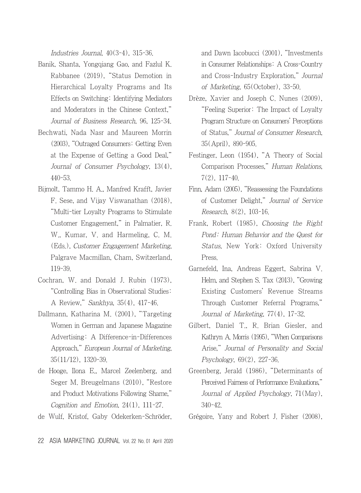Industries Journal, 40(3-4), 315-36.

- Banik, Shanta, Yongqiang Gao, and Fazlul K. Rabbanee (2019), "Status Demotion in Hierarchical Loyalty Programs and Its Effects on Switching: Identifying Mediators and Moderators in the Chinese Context," Journal of Business Research, 96, 125-34.
- Bechwati, Nada Nasr and Maureen Morrin (2003), "Outraged Consumers: Getting Even at the Expense of Getting a Good Deal," Journal of Consumer Psychology, 13(4), 440-53.
- Bijmolt, Tammo H. A., Manfred Krafft, Javier F. Sese, and Vijay Viswanathan (2018), "Multi-tier Loyalty Programs to Stimulate Customer Engagement," in Palmatier, R. W., Kumar, V. and Harmeling, C. M. (Eds.), Customer Engagement Marketing, Palgrave Macmillan, Cham, Switzerland, 119-39.
- Cochran, W. and Donald J. Rubin (1973), "Controlling Bias in Observational Studies: A Review," Sankhya, 35(4), 417-46.
- Dallmann, Katharina M. (2001), "Targeting Women in German and Japanese Magazine Advertising: A Difference-in-Differences Approach," European Journal of Marketing, 35(11/12), 1320-39.
- de Hooge, Ilona E., Marcel Zeelenberg, and Seger M. Breugelmans (2010), "Restore and Product Motivations Following Shame," Cognition and Emotion, 24(1), 111-27.
- de Wulf, Kristof, Gaby Odekerken-Schröder,

and Dawn Iacobucci (2001), "Investments in Consumer Relationships: A Cross-Country and Cross-Industry Exploration," Journal of Marketing, 65(October), 33-50.

- Drèze, Xavier and Joseph C. Nunes (2009), "Feeling Superior: The Impact of Loyalty Program Structure on Consumers' Perceptions of Status," Journal of Consumer Research, 35(April), 890-905.
- Festinger, Leon (1954), "A Theory of Social Comparison Processes," Human Relations, 7(2), 117-40.
- Finn, Adam (2005), "Reassessing the Foundations of Customer Delight," Journal of Service Research, 8(2), 103-16.
- Frank, Robert (1985), Choosing the Right Pond: Human Behavior and the Quest for Status, New York: Oxford University Press.
- Garnefeld, Ina, Andreas Eggert, Sabrina V. Helm, and Stephen S. Tax (2013), "Growing Existing Customers' Revenue Streams Through Customer Referral Programs," Journal of Marketing, 77(4), 17-32.
- Gilbert, Daniel T., R. Brian Giesler, and Kathryn A. Morris (1995), "When Comparisons Arise," Journal of Personality and Social Psychology, 69(2), 227-36.
- Greenberg, Jerald (1986), "Determinants of Perceived Fairness of Performance Evaluations," Journal of Applied Psychology, 71(May), 340-42.
- Grégoire, Yany and Robert J. Fisher (2008),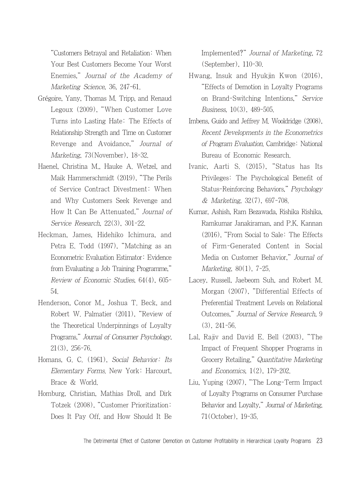"Customers Betrayal and Retaliation: When Your Best Customers Become Your Worst Enemies," Journal of the Academy of Marketing Science, 36, 247-61.

- Grégoire, Yany, Thomas M. Tripp, and Renaud Legoux (2009), "When Customer Love Turns into Lasting Hate: The Effects of Relationship Strength and Time on Customer Revenge and Avoidance," Journal of Marketing, 73(November), 18-32.
- Haenel, Christina M., Hauke A. Wetzel, and Maik Hammerschmidt (2019), "The Perils of Service Contract Divestment: When and Why Customers Seek Revenge and How It Can Be Attenuated," Journal of Service Research, 22(3), 301-22.
- Heckman, James, Hidehiko Ichimura, and Petra E. Todd (1997), "Matching as an Econometric Evaluation Estimator: Evidence from Evaluating a Job Training Programme," Review of Economic Studies, 64(4), 605- 54.
- Henderson, Conor M., Joshua T. Beck, and Robert W. Palmatier (2011), "Review of the Theoretical Underpinnings of Loyalty Programs," Journal of Consumer Psychology, 21(3), 256-76.
- Homans, G. C. (1961), Social Behavior: Its Elementary Forms. New York: Harcourt, Brace & World.
- Homburg, Christian, Mathias Droll, and Dirk Totzek (2008), "Customer Prioritization: Does It Pay Off, and How Should It Be

Implemented?" Journal of Marketing, 72 (September), 110-30.

- Hwang, Insuk and Hyukjin Kwon (2016), "Effects of Demotion in Loyalty Programs on Brand-Switching Intentions," Service Business, 10(3), 489-505.
- Imbens, Guido and Jeffrey M. Wooldridge (2008), Recent Developments in the Econometrics of Program Evaluation. Cambridge: National Bureau of Economic Research.
- Ivanic, Aarti S. (2015), "Status has Its Privileges: The Psychological Benefit of Status-Reinforcing Behaviors," Psychology & Marketing, 32(7), 697-708.
- Kumar, Ashish, Ram Bezawada, Rishika Rishika, Ramkumar Janakiraman, and P.K. Kannan (2016), "From Social to Sale: The Effects of Firm-Generated Content in Social Media on Customer Behavior," Journal of Marketing, 80(1), 7-25.
- Lacey, Russell, Jaebeom Suh, and Robert M. Morgan (2007), "Differential Effects of Preferential Treatment Levels on Relational Outcomes," Journal of Service Research, 9 (3), 241-56.
- Lal, Rajiv and David E. Bell (2003), "The Impact of Frequent Shopper Programs in Grocery Retailing," Quantitative Marketing and Economics, 1(2), 179-202.
- Liu, Yuping (2007), "The Long-Term Impact of Loyalty Programs on Consumer Purchase Behavior and Loyalty," Journal of Marketing, 71(October), 19-35.

The Detrimental Effect of Customer Demotion on Customer Profitability in Hierarchical Loyalty Programs 23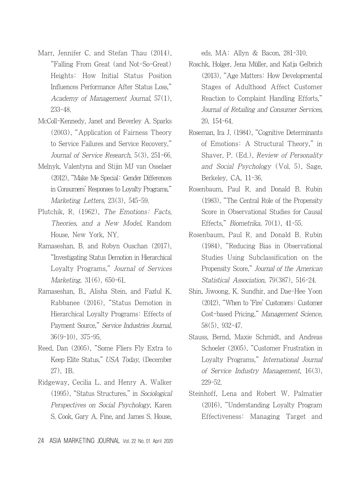- Marr, Jennifer C. and Stefan Thau (2014), "Falling From Great (and Not-So-Great) Heights: How Initial Status Position Influences Performance After Status Loss," Academy of Management Journal, 57(1), 233-48.
- McColl-Kennedy, Janet and Beverley A. Sparks (2003), "Application of Fairness Theory to Service Failures and Service Recovery," Journal of Service Research, 5(3), 251-66.
- Melnyk, Valentyna and Stijin MJ van Osselaer (2012), "Make Me Special: Gender Differences in Consumers' Responses to Loyalty Programs," Marketing Letters, 23(3), 545-59.
- Plutchik, R. (1962), The Emotions: Facts, Theories, and a New Model, Random House, New York, NY.
- Ramaseshan, B. and Robyn Ouschan (2017), "Investigating Status Demotion in Hierarchical Loyalty Programs," Journal of Services Marketing, 31(6), 650-61.
- Ramaseshan, B., Alisha Stein, and Fazlul K. Rabbanee (2016), "Status Demotion in Hierarchical Loyalty Programs: Effects of Payment Source," Service Industries Journal, 36(9-10), 375-95.
- Reed, Dan (2005), "Some Fliers Fly Extra to Keep Elite Status," USA Today, (December 27), 1B.
- Ridgeway, Cecilia L. and Henry A. Walker (1995), "Status Structures," in Sociological Perspectives on Social Psychology, Karen S. Cook, Gary A. Fine, and James S. House,

eds. MA: Allyn & Bacon, 281-310.

- Roschk, Holger, Jena Müller, and Katja Gelbrich (2013), "Age Matters: How Developmental Stages of Adulthood Affect Customer Reaction to Complaint Handling Efforts," Journal of Retailing and Consumer Services, 20, 154-64.
- Roseman, Ira J. (1984), "Cognitive Determinants of Emotions: A Structural Theory," in Shaver, P. (Ed.), Review of Personality and Social Psychology (Vol. 5), Sage, Berkeley, CA, 11-36.
- Rosenbaum, Paul R. and Donald B. Rubin (1983), "The Central Role of the Propensity Score in Observational Studies for Causal Effects," Biometrika, 70(1), 41-55.
- Rosenbaum, Paul R. and Donald B. Rubin (1984), "Reducing Bias in Observational Studies Using Subclassification on the Propensity Score," Journal of the American Statistical Association, 79(387), 516-24.
- Shin, Jiwoong, K. Sundhir, and Dae-Hee Yoon (2012), "When to 'Fire' Customers: Customer Cost-based Pricing," Management Science, 58(5), 932-47.
- Stauss, Bernd, Maxie Schmidt, and Andreas Schoeler (2005), "Customer Frustration in Loyalty Programs," International Journal of Service Industry Management, 16(3), 229-52.
- Steinhoff, Lena and Robert W. Palmatier (2016), "Understanding Loyalty Program Effectiveness: Managing Target and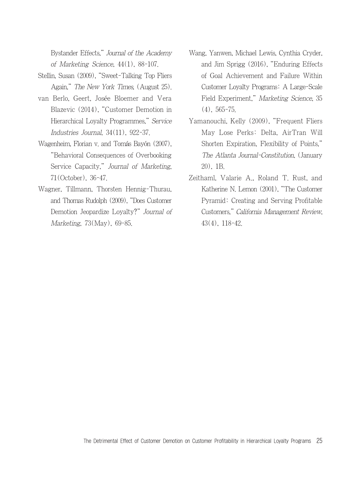Bystander Effects," Journal of the Academy of Marketing Science, 44(1), 88-107.

- Stellin, Susan (2009), "Sweet-Talking Top Fliers Again," The New York Times, (August 25).
- van Berlo, Geert, Josée Bloemer and Vera Blazevic (2014), "Customer Demotion in Hierarchical Loyalty Programmes," Service Industries Journal, 34(11), 922-37.
- Wagenheim, Florian v. and Tomás Bayón (2007), "Behavioral Consequences of Overbooking Service Capacity," Journal of Marketing, 71(October), 36-47.
- Wagner, Tillmann, Thorsten Hennig-Thurau, and Thomas Rudolph (2009), "Does Customer Demotion Jeopardize Loyalty?" Journal of Marketing, 73(May), 69-85.
- Wang, Yanwen, Michael Lewis, Cynthia Cryder, and Jim Sprigg (2016), "Enduring Effects of Goal Achievement and Failure Within Customer Loyalty Programs: A Large-Scale Field Experiment," Marketing Science, 35 (4), 565-75.
- Yamanouchi, Kelly (2009), "Frequent Fliers May Lose Perks: Delta, AirTran Will Shorten Expiration, Flexibility of Points," The Atlanta Journal-Constitution, (January 20), 1B.
- Zeithaml, Valarie A., Roland T. Rust, and Katherine N. Lemon (2001), "The Customer Pyramid: Creating and Serving Profitable Customers," California Management Review, 43(4), 118-42.